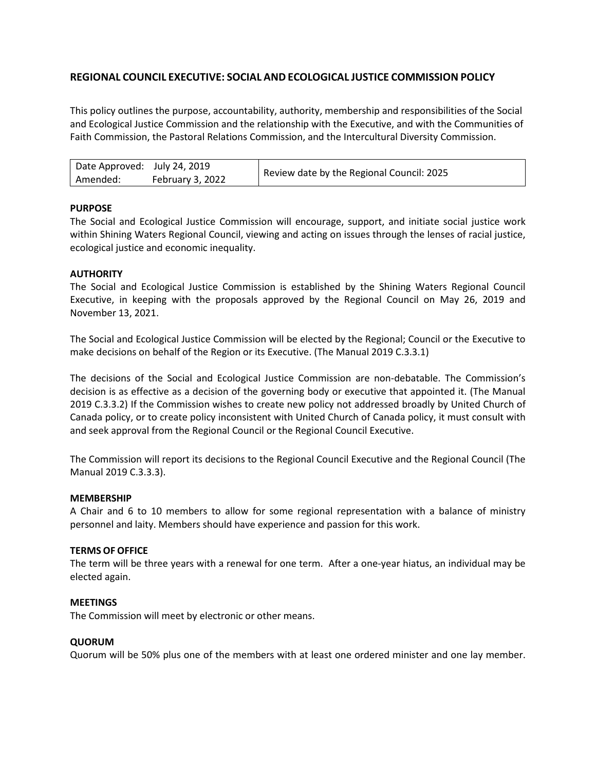# **REGIONAL COUNCIL EXECUTIVE: SOCIAL AND ECOLOGICAL JUSTICE COMMISSION POLICY**

This policy outlines the purpose, accountability, authority, membership and responsibilities of the Social and Ecological Justice Commission and the relationship with the Executive, and with the Communities of Faith Commission, the Pastoral Relations Commission, and the Intercultural Diversity Commission.

| Date Approved: July 24, 2019 |                  | Review date by the Regional Council: 2025 |
|------------------------------|------------------|-------------------------------------------|
| Amended:                     | February 3, 2022 |                                           |

# **PURPOSE**

The Social and Ecological Justice Commission will encourage, support, and initiate social justice work within Shining Waters Regional Council, viewing and acting on issues through the lenses of racial justice, ecological justice and economic inequality.

### **AUTHORITY**

The Social and Ecological Justice Commission is established by the Shining Waters Regional Council Executive, in keeping with the proposals approved by the Regional Council on May 26, 2019 and November 13, 2021.

The Social and Ecological Justice Commission will be elected by the Regional; Council or the Executive to make decisions on behalf of the Region or its Executive. (The Manual 2019 C.3.3.1)

The decisions of the Social and Ecological Justice Commission are non-debatable. The Commission's decision is as effective as a decision of the governing body or executive that appointed it. (The Manual 2019 C.3.3.2) If the Commission wishes to create new policy not addressed broadly by United Church of Canada policy, or to create policy inconsistent with United Church of Canada policy, it must consult with and seek approval from the Regional Council or the Regional Council Executive.

The Commission will report its decisions to the Regional Council Executive and the Regional Council (The Manual 2019 C.3.3.3).

#### **MEMBERSHIP**

A Chair and 6 to 10 members to allow for some regional representation with a balance of ministry personnel and laity. Members should have experience and passion for this work.

# **TERMS OF OFFICE**

The term will be three years with a renewal for one term. After a one-year hiatus, an individual may be elected again.

#### **MEETINGS**

The Commission will meet by electronic or other means.

#### **QUORUM**

Quorum will be 50% plus one of the members with at least one ordered minister and one lay member.